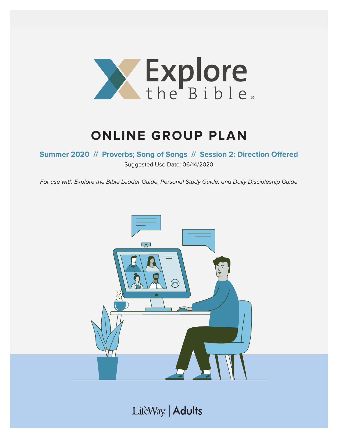

## **ONLINE GROUP PLAN**

**Summer 2020 // Proverbs; Song of Songs // Session 2: Direction Offered**

Suggested Use Date: 06/14/2020

For use with Explore the Bible Leader Guide, Personal Study Guide, and Daily Discipleship Guide



LifeWay | Adults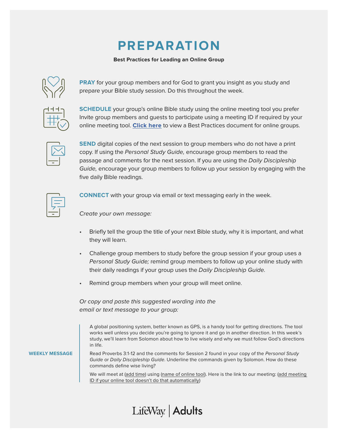## **PREPARATION**

#### **Best Practices for Leading an Online Group**



**PRAY** for your group members and for God to grant you insight as you study and prepare your Bible study session. Do this throughout the week.

**SCHEDULE** your group's online Bible study using the online meeting tool you prefer Invite group members and guests to participate using a meeting ID if required by your online meeting tool. **[Click here](https://s3.amazonaws.com/LWbranding/bsfl2019/2020/04/Online_Bible_Study_Best_Practices.pdf)** to view a Best Practices document for online groups.



**SEND** digital copies of the next session to group members who do not have a print copy. If using the Personal Study Guide, encourage group members to read the passage and comments for the next session. If you are using the Daily Discipleship Guide, encourage your group members to follow up your session by engaging with the five daily Bible readings.



**CONNECT** with your group via email or text messaging early in the week.

Create your own message:

- Briefly tell the group the title of your next Bible study, why it is important, and what they will learn.
- Challenge group members to study before the group session if your group uses a Personal Study Guide; remind group members to follow up your online study with their daily readings if your group uses the Daily Discipleship Guide.
- Remind group members when your group will meet online.

LifeWay | Adults

Or copy and paste this suggested wording into the email or text message to your group:

A global positioning system, better known as GPS, is a handy tool for getting directions. The tool works well unless you decide you're going to ignore it and go in another direction. In this week's study, we'll learn from Solomon about how to live wisely and why we must follow God's directions in life.

**WEEKLY MESSAGE**

Read Proverbs 3:1-12 and the comments for Session 2 found in your copy of the Personal Study Guide or Daily Discipleship Guide. Underline the commands given by Solomon. How do these commands define wise living?

We will meet at (add time) using (name of online tool). Here is the link to our meeting: (add meeting ID if your online tool doesn't do that automatically)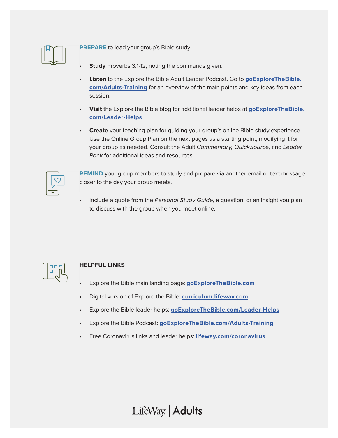

**PREPARE** to lead your group's Bible study.

- **Study** Proverbs 3:1-12, noting the commands given.
- **Listen** to the Explore the Bible Adult Leader Podcast. Go to **[goExploreTheBible.](https://goexplorethebible.com/adults-training/) [com/Adults-Training](https://goexplorethebible.com/adults-training/)** for an overview of the main points and key ideas from each session.
- **Visit** the Explore the Bible blog for additional leader helps at **[goExploreTheBible.](https://goexplorethebible.com/blog/) [com/L](https://goexplorethebible.com/blog/)eader-Helps**
- **Create** your teaching plan for guiding your group's online Bible study experience. Use the Online Group Plan on the next pages as a starting point, modifying it for your group as needed. Consult the Adult Commentary, QuickSource, and Leader Pack for additional ideas and resources.

**REMIND** your group members to study and prepare via another email or text message closer to the day your group meets.

Include a quote from the Personal Study Guide, a question, or an insight you plan to discuss with the group when you meet online.



### **HELPFUL LINKS**

- Explore the Bible main landing page: **[goExploreTheBible.com](https://goexplorethebible.com/)**
- Digital version of Explore the Bible: **[curriculum.lifeway.com](https://curriculum.lifeway.com/#/)**
- Explore the Bible leader helps: **[goExploreTheBible.com/L](https://goexplorethebible.com/blog/)eader-Helps**
- Explore the Bible Podcast: **[goExploreTheBible.com/Adults-Training](https://goexplorethebible.com/adults-training/)**
- Free Coronavirus links and leader helps: **[lifeway.com/coronavirus](https://www.lifeway.com/coronavirus)**

LifeWay | Adults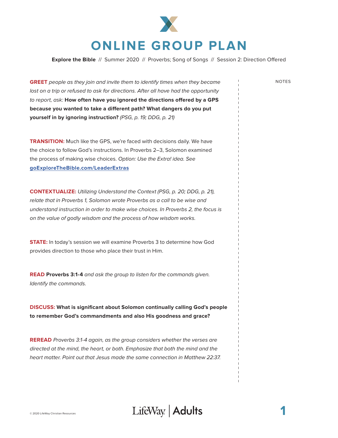

**Explore the Bible** // Summer 2020 // Proverbs; Song of Songs // Session 2: Direction Offered

**GREET** people as they join and invite them to identify times when they became lost on a trip or refused to ask for directions. After all have had the opportunity to report, ask: **How often have you ignored the directions offered by a GPS because you wanted to take a different path? What dangers do you put yourself in by ignoring instruction?** (PSG, p. 19; DDG, p. 21)

**TRANSITION:** Much like the GPS, we're faced with decisions daily. We have the choice to follow God's instructions. In Proverbs 2–3, Solomon examined the process of making wise choices. Option: Use the Extra! idea. See **[goExploreTheBible.com/LeaderExtras](https://goexplorethebible.com/leaderextras/)**

**CONTEXTUALIZE:** Utilizing Understand the Context (PSG, p. 20; DDG, p. 21), relate that in Proverbs 1, Solomon wrote Proverbs as a call to be wise and understand instruction in order to make wise choices. In Proverbs 2, the focus is on the value of godly wisdom and the process of how wisdom works.

**STATE:** In today's session we will examine Proverbs 3 to determine how God provides direction to those who place their trust in Him.

**READ Proverbs 3:1-4** and ask the group to listen for the commands given. Identify the commands.

**DISCUSS: What is significant about Solomon continually calling God's people to remember God's commandments and also His goodness and grace?**

**REREAD** Proverbs 3:1-4 again, as the group considers whether the verses are directed at the mind, the heart, or both. Emphasize that both the mind and the heart matter. Point out that Jesus made the same connection in Matthew 22:37.

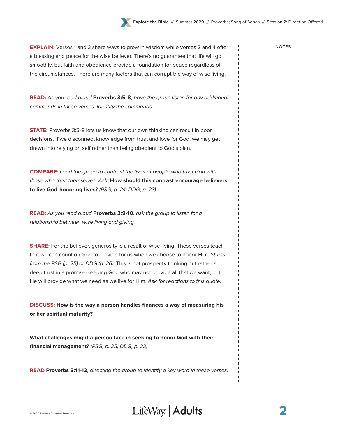**EXPLAIN:** Verses 1 and 3 share ways to grow in wisdom while verses 2 and 4 offer NOTES a blessing and peace for the wise believer. There's no guarantee that life will go smoothly, but faith and obedience provide a foundation for peace regardless of the circumstances. There are many factors that can corrupt the way of wise living.

**READ:** As you read aloud **Proverbs 3:5-8**, have the group listen for any additional commands in these verses. Identify the commands.

**STATE:** Proverbs 3:5-8 lets us know that our own thinking can result in poor decisions. If we disconnect knowledge from trust and love for God, we may get drawn into relying on self rather than being obedient to God's plan.

**COMPARE:** Lead the group to contrast the lives of people who trust God with those who trust themselves. Ask: **How should this contrast encourage believers to live God-honoring lives?** (PSG, p. 24; DDG, p. 23)

**READ:** As you read aloud **Proverbs 3:9-10**, ask the group to listen for a relationship between wise living and giving.

**SHARE:** For the believer, generosity is a result of wise living. These verses teach that we can count on God to provide for us when we choose to honor Him. Stress from the PSG (p. 25) or DDG (p. 26): This is not prosperity thinking but rather a deep trust in a promise-keeping God who may not provide all that we want, but He will provide what we need as we live for Him. Ask for reactions to this quote.

**DISCUSS: How is the way a person handles finances a way of measuring his or her spiritual maturity?** 

**What challenges might a person face in seeking to honor God with their financial management?** (PSG, p. 25; DDG, p. 23)

**READ Proverbs 3:11-12**, directing the group to identify a key word in these verses.



**2**